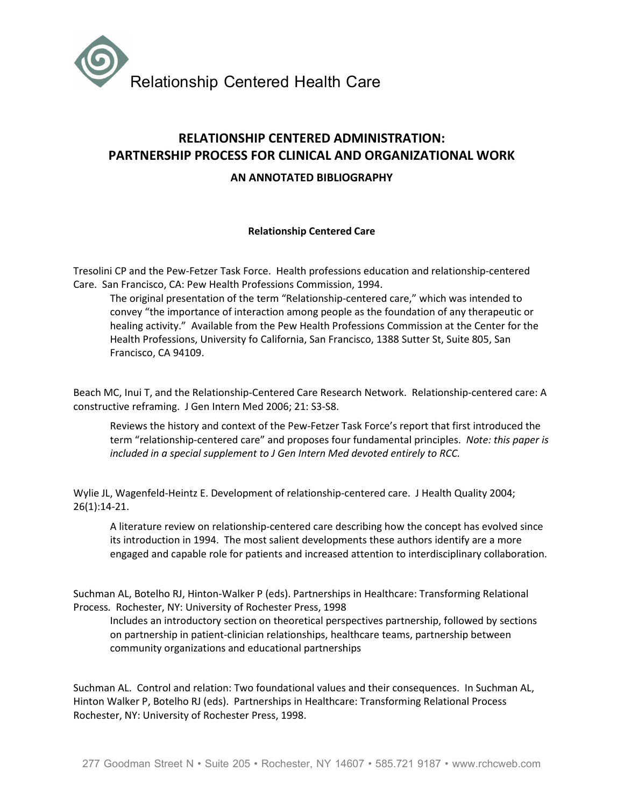

# RELATIONSHIP CENTERED ADMINISTRATION: PARTNERSHIP PROCESS FOR CLINICAL AND ORGANIZATIONAL WORK

# AN ANNOTATED BIBLIOGRAPHY

#### Relationship Centered Care

Tresolini CP and the Pew-Fetzer Task Force. Health professions education and relationship-centered Care. San Francisco, CA: Pew Health Professions Commission, 1994.

The original presentation of the term "Relationship-centered care," which was intended to convey "the importance of interaction among people as the foundation of any therapeutic or healing activity." Available from the Pew Health Professions Commission at the Center for the Health Professions, University fo California, San Francisco, 1388 Sutter St, Suite 805, San Francisco, CA 94109.

Beach MC, Inui T, and the Relationship-Centered Care Research Network. Relationship-centered care: A constructive reframing. J Gen Intern Med 2006; 21: S3-S8.

Reviews the history and context of the Pew-Fetzer Task Force's report that first introduced the term "relationship-centered care" and proposes four fundamental principles. Note: this paper is included in a special supplement to J Gen Intern Med devoted entirely to RCC.

Wylie JL, Wagenfeld-Heintz E. Development of relationship-centered care. J Health Quality 2004; 26(1):14-21.

A literature review on relationship-centered care describing how the concept has evolved since its introduction in 1994. The most salient developments these authors identify are a more engaged and capable role for patients and increased attention to interdisciplinary collaboration.

Suchman AL, Botelho RJ, Hinton-Walker P (eds). Partnerships in Healthcare: Transforming Relational Process. Rochester, NY: University of Rochester Press, 1998

Includes an introductory section on theoretical perspectives partnership, followed by sections on partnership in patient-clinician relationships, healthcare teams, partnership between community organizations and educational partnerships

Suchman AL. Control and relation: Two foundational values and their consequences. In Suchman AL, Hinton Walker P, Botelho RJ (eds). Partnerships in Healthcare: Transforming Relational Process Rochester, NY: University of Rochester Press, 1998.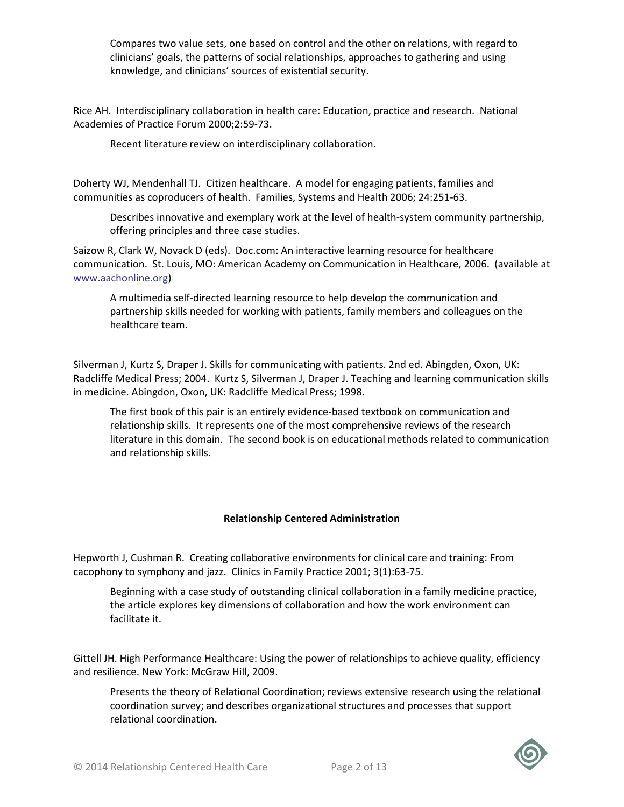Compares two value sets, one based on control and the other on relations, with regard to clinicians' goals, the patterns of social relationships, approaches to gathering and using knowledge, and clinicians' sources of existential security.

Rice AH. Interdisciplinary collaboration in health care: Education, practice and research. National Academies of Practice Forum 2000;2:59-73.

Recent literature review on interdisciplinary collaboration.

Doherty WJ, Mendenhall TJ. Citizen healthcare. A model for engaging patients, families and communities as coproducers of health. Families, Systems and Health 2006; 24:251-63.

Describes innovative and exemplary work at the level of health-system community partnership, offering principles and three case studies.

Saizow R, Clark W, Novack D (eds). Doc.com: An interactive learning resource for healthcare communication. St. Louis, MO: American Academy on Communication in Healthcare, 2006. (available at www.aachonline.org)

A multimedia self-directed learning resource to help develop the communication and partnership skills needed for working with patients, family members and colleagues on the healthcare team.

Silverman J, Kurtz S, Draper J. Skills for communicating with patients. 2nd ed. Abingden, Oxon, UK: Radcliffe Medical Press; 2004. Kurtz S, Silverman J, Draper J. Teaching and learning communication skills in medicine. Abingdon, Oxon, UK: Radcliffe Medical Press; 1998.

The first book of this pair is an entirely evidence-based textbook on communication and relationship skills. It represents one of the most comprehensive reviews of the research literature in this domain. The second book is on educational methods related to communication and relationship skills.

# Relationship Centered Administration

Hepworth J, Cushman R. Creating collaborative environments for clinical care and training: From cacophony to symphony and jazz. Clinics in Family Practice 2001; 3(1):63-75.

Beginning with a case study of outstanding clinical collaboration in a family medicine practice, the article explores key dimensions of collaboration and how the work environment can facilitate it.

Gittell JH. High Performance Healthcare: Using the power of relationships to achieve quality, efficiency and resilience. New York: McGraw Hill, 2009.

Presents the theory of Relational Coordination; reviews extensive research using the relational coordination survey; and describes organizational structures and processes that support relational coordination.

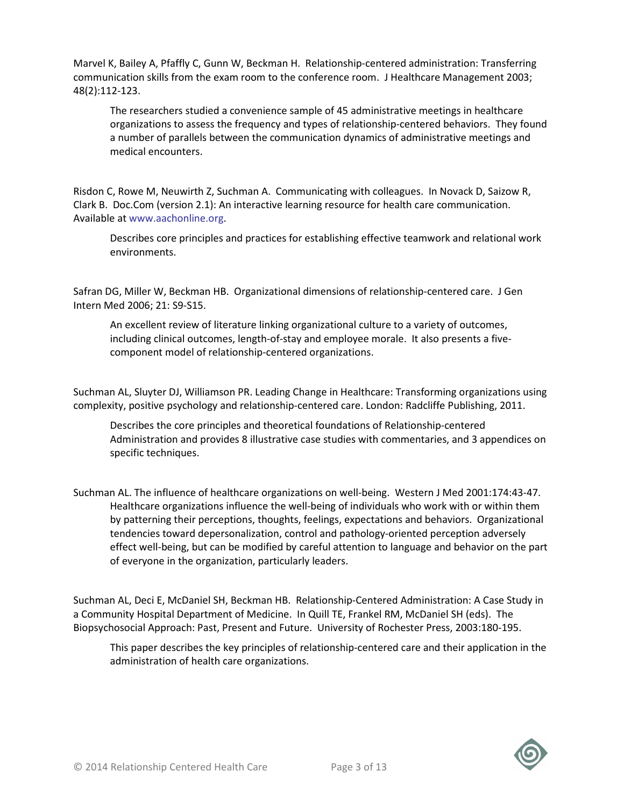Marvel K, Bailey A, Pfaffly C, Gunn W, Beckman H. Relationship-centered administration: Transferring communication skills from the exam room to the conference room. J Healthcare Management 2003; 48(2):112-123.

The researchers studied a convenience sample of 45 administrative meetings in healthcare organizations to assess the frequency and types of relationship-centered behaviors. They found a number of parallels between the communication dynamics of administrative meetings and medical encounters.

Risdon C, Rowe M, Neuwirth Z, Suchman A. Communicating with colleagues. In Novack D, Saizow R, Clark B. Doc.Com (version 2.1): An interactive learning resource for health care communication. Available at www.aachonline.org.

Describes core principles and practices for establishing effective teamwork and relational work environments.

Safran DG, Miller W, Beckman HB. Organizational dimensions of relationship-centered care. J Gen Intern Med 2006; 21: S9-S15.

An excellent review of literature linking organizational culture to a variety of outcomes, including clinical outcomes, length-of-stay and employee morale. It also presents a fivecomponent model of relationship-centered organizations.

Suchman AL, Sluyter DJ, Williamson PR. Leading Change in Healthcare: Transforming organizations using complexity, positive psychology and relationship-centered care. London: Radcliffe Publishing, 2011.

Describes the core principles and theoretical foundations of Relationship-centered Administration and provides 8 illustrative case studies with commentaries, and 3 appendices on specific techniques.

Suchman AL. The influence of healthcare organizations on well-being. Western J Med 2001:174:43-47. Healthcare organizations influence the well-being of individuals who work with or within them by patterning their perceptions, thoughts, feelings, expectations and behaviors. Organizational tendencies toward depersonalization, control and pathology-oriented perception adversely effect well-being, but can be modified by careful attention to language and behavior on the part of everyone in the organization, particularly leaders.

Suchman AL, Deci E, McDaniel SH, Beckman HB. Relationship-Centered Administration: A Case Study in a Community Hospital Department of Medicine. In Quill TE, Frankel RM, McDaniel SH (eds). The Biopsychosocial Approach: Past, Present and Future. University of Rochester Press, 2003:180-195.

This paper describes the key principles of relationship-centered care and their application in the administration of health care organizations.

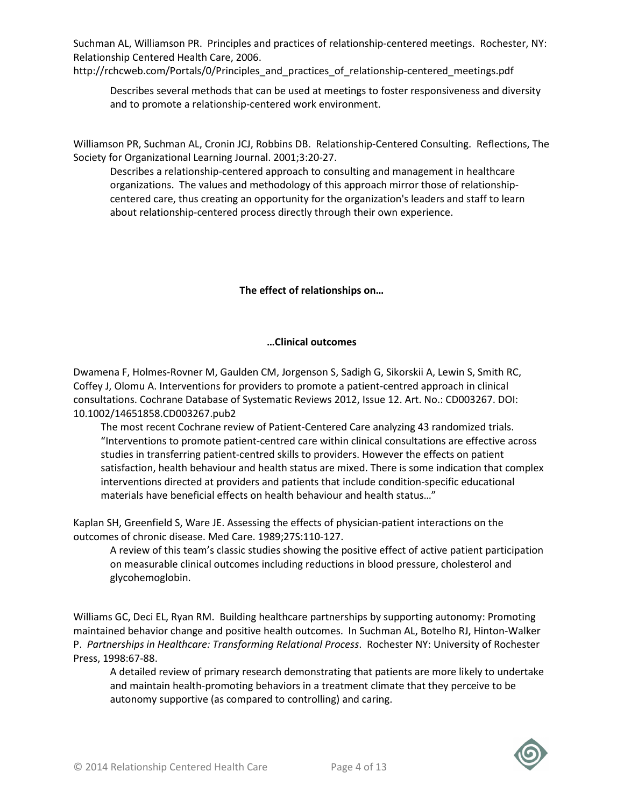Suchman AL, Williamson PR. Principles and practices of relationship-centered meetings. Rochester, NY: Relationship Centered Health Care, 2006.

http://rchcweb.com/Portals/0/Principles\_and\_practices\_of\_relationship-centered\_meetings.pdf

Describes several methods that can be used at meetings to foster responsiveness and diversity and to promote a relationship-centered work environment.

Williamson PR, Suchman AL, Cronin JCJ, Robbins DB. Relationship-Centered Consulting. Reflections, The Society for Organizational Learning Journal. 2001;3:20-27.

Describes a relationship-centered approach to consulting and management in healthcare organizations. The values and methodology of this approach mirror those of relationshipcentered care, thus creating an opportunity for the organization's leaders and staff to learn about relationship-centered process directly through their own experience.

# The effect of relationships on…

## …Clinical outcomes

Dwamena F, Holmes-Rovner M, Gaulden CM, Jorgenson S, Sadigh G, Sikorskii A, Lewin S, Smith RC, Coffey J, Olomu A. Interventions for providers to promote a patient-centred approach in clinical consultations. Cochrane Database of Systematic Reviews 2012, Issue 12. Art. No.: CD003267. DOI: 10.1002/14651858.CD003267.pub2

The most recent Cochrane review of Patient-Centered Care analyzing 43 randomized trials. "Interventions to promote patient-centred care within clinical consultations are effective across studies in transferring patient-centred skills to providers. However the effects on patient satisfaction, health behaviour and health status are mixed. There is some indication that complex interventions directed at providers and patients that include condition-specific educational materials have beneficial effects on health behaviour and health status…"

Kaplan SH, Greenfield S, Ware JE. Assessing the effects of physician-patient interactions on the outcomes of chronic disease. Med Care. 1989;27S:110-127.

A review of this team's classic studies showing the positive effect of active patient participation on measurable clinical outcomes including reductions in blood pressure, cholesterol and glycohemoglobin.

Williams GC, Deci EL, Ryan RM. Building healthcare partnerships by supporting autonomy: Promoting maintained behavior change and positive health outcomes. In Suchman AL, Botelho RJ, Hinton-Walker P. Partnerships in Healthcare: Transforming Relational Process. Rochester NY: University of Rochester Press, 1998:67-88.

A detailed review of primary research demonstrating that patients are more likely to undertake and maintain health-promoting behaviors in a treatment climate that they perceive to be autonomy supportive (as compared to controlling) and caring.

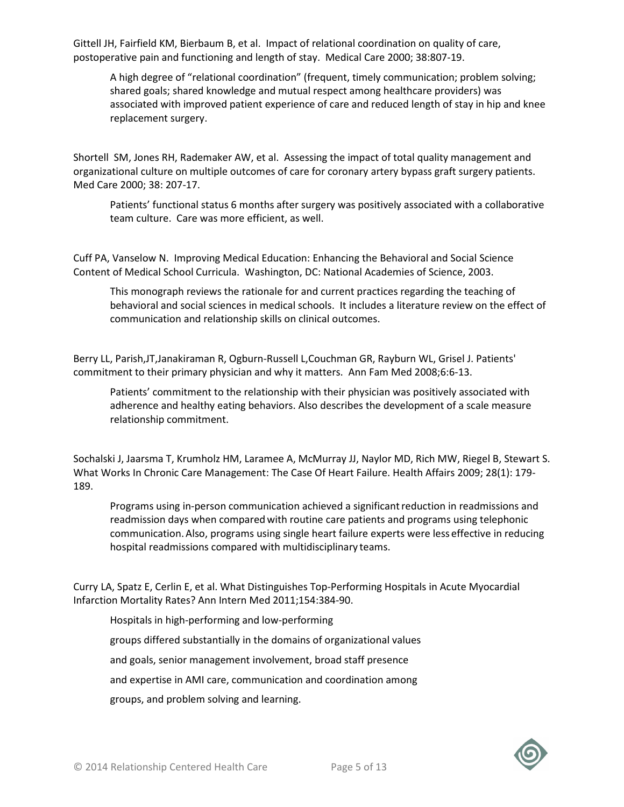Gittell JH, Fairfield KM, Bierbaum B, et al. Impact of relational coordination on quality of care, postoperative pain and functioning and length of stay. Medical Care 2000; 38:807-19.

A high degree of "relational coordination" (frequent, timely communication; problem solving; shared goals; shared knowledge and mutual respect among healthcare providers) was associated with improved patient experience of care and reduced length of stay in hip and knee replacement surgery.

Shortell SM, Jones RH, Rademaker AW, et al. Assessing the impact of total quality management and organizational culture on multiple outcomes of care for coronary artery bypass graft surgery patients. Med Care 2000; 38: 207-17.

Patients' functional status 6 months after surgery was positively associated with a collaborative team culture. Care was more efficient, as well.

Cuff PA, Vanselow N. Improving Medical Education: Enhancing the Behavioral and Social Science Content of Medical School Curricula. Washington, DC: National Academies of Science, 2003.

This monograph reviews the rationale for and current practices regarding the teaching of behavioral and social sciences in medical schools. It includes a literature review on the effect of communication and relationship skills on clinical outcomes.

Berry LL, Parish,JT,Janakiraman R, Ogburn-Russell L,Couchman GR, Rayburn WL, Grisel J. Patients' commitment to their primary physician and why it matters. Ann Fam Med 2008;6:6-13.

Patients' commitment to the relationship with their physician was positively associated with adherence and healthy eating behaviors. Also describes the development of a scale measure relationship commitment.

Sochalski J, Jaarsma T, Krumholz HM, Laramee A, McMurray JJ, Naylor MD, Rich MW, Riegel B, Stewart S. What Works In Chronic Care Management: The Case Of Heart Failure. Health Affairs 2009; 28(1): 179- 189.

Programs using in-person communication achieved a significantreduction in readmissions and readmission days when comparedwith routine care patients and programs using telephonic communication.Also, programs using single heart failure experts were less effective in reducing hospital readmissions compared with multidisciplinary teams.

Curry LA, Spatz E, Cerlin E, et al. What Distinguishes Top-Performing Hospitals in Acute Myocardial Infarction Mortality Rates? Ann Intern Med 2011;154:384-90.

Hospitals in high-performing and low-performing

groups differed substantially in the domains of organizational values

and goals, senior management involvement, broad staff presence

and expertise in AMI care, communication and coordination among

groups, and problem solving and learning.

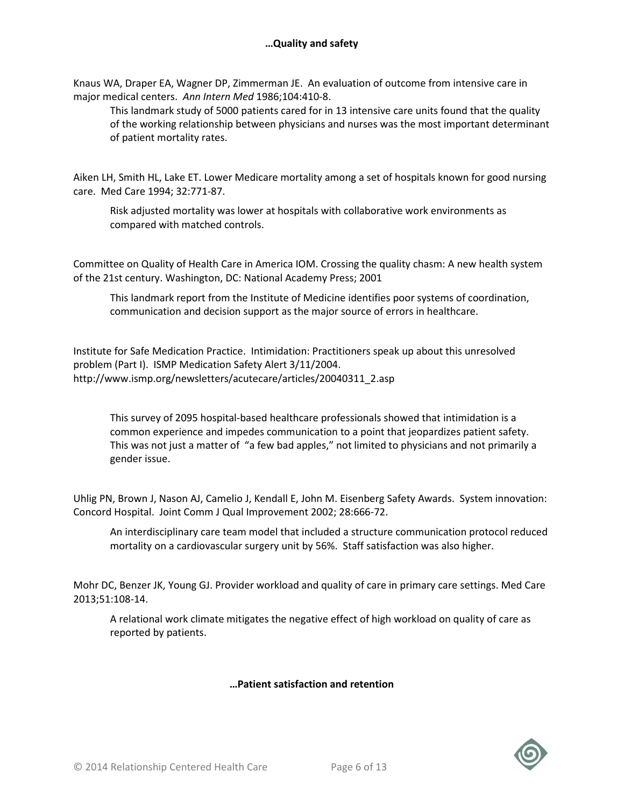Knaus WA, Draper EA, Wagner DP, Zimmerman JE. An evaluation of outcome from intensive care in major medical centers. Ann Intern Med 1986;104:410-8.

This landmark study of 5000 patients cared for in 13 intensive care units found that the quality of the working relationship between physicians and nurses was the most important determinant of patient mortality rates.

Aiken LH, Smith HL, Lake ET. Lower Medicare mortality among a set of hospitals known for good nursing care. Med Care 1994; 32:771-87.

Risk adjusted mortality was lower at hospitals with collaborative work environments as compared with matched controls.

Committee on Quality of Health Care in America IOM. Crossing the quality chasm: A new health system of the 21st century. Washington, DC: National Academy Press; 2001

This landmark report from the Institute of Medicine identifies poor systems of coordination, communication and decision support as the major source of errors in healthcare.

Institute for Safe Medication Practice. Intimidation: Practitioners speak up about this unresolved problem (Part I). ISMP Medication Safety Alert 3/11/2004. http://www.ismp.org/newsletters/acutecare/articles/20040311\_2.asp

This survey of 2095 hospital-based healthcare professionals showed that intimidation is a common experience and impedes communication to a point that jeopardizes patient safety. This was not just a matter of "a few bad apples," not limited to physicians and not primarily a gender issue.

Uhlig PN, Brown J, Nason AJ, Camelio J, Kendall E, John M. Eisenberg Safety Awards. System innovation: Concord Hospital. Joint Comm J Qual Improvement 2002; 28:666-72.

An interdisciplinary care team model that included a structure communication protocol reduced mortality on a cardiovascular surgery unit by 56%. Staff satisfaction was also higher.

Mohr DC, Benzer JK, Young GJ. Provider workload and quality of care in primary care settings. Med Care 2013;51:108-14.

A relational work climate mitigates the negative effect of high workload on quality of care as reported by patients.

# …Patient satisfaction and retention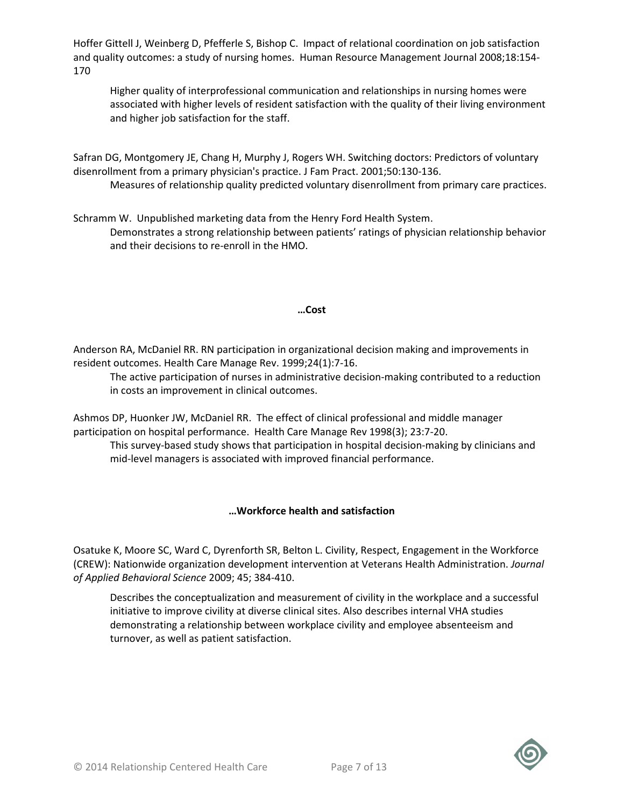Hoffer Gittell J, Weinberg D, Pfefferle S, Bishop C. Impact of relational coordination on job satisfaction and quality outcomes: a study of nursing homes. Human Resource Management Journal 2008;18:154- 170

Higher quality of interprofessional communication and relationships in nursing homes were associated with higher levels of resident satisfaction with the quality of their living environment and higher job satisfaction for the staff.

Safran DG, Montgomery JE, Chang H, Murphy J, Rogers WH. Switching doctors: Predictors of voluntary disenrollment from a primary physician's practice. J Fam Pract. 2001;50:130-136.

Measures of relationship quality predicted voluntary disenrollment from primary care practices.

Schramm W. Unpublished marketing data from the Henry Ford Health System. Demonstrates a strong relationship between patients' ratings of physician relationship behavior and their decisions to re-enroll in the HMO.

#### …Cost

Anderson RA, McDaniel RR. RN participation in organizational decision making and improvements in resident outcomes. Health Care Manage Rev. 1999;24(1):7-16.

The active participation of nurses in administrative decision-making contributed to a reduction in costs an improvement in clinical outcomes.

Ashmos DP, Huonker JW, McDaniel RR. The effect of clinical professional and middle manager participation on hospital performance. Health Care Manage Rev 1998(3); 23:7-20.

This survey-based study shows that participation in hospital decision-making by clinicians and mid-level managers is associated with improved financial performance.

#### …Workforce health and satisfaction

Osatuke K, Moore SC, Ward C, Dyrenforth SR, Belton L. Civility, Respect, Engagement in the Workforce (CREW): Nationwide organization development intervention at Veterans Health Administration. Journal of Applied Behavioral Science 2009; 45; 384-410.

Describes the conceptualization and measurement of civility in the workplace and a successful initiative to improve civility at diverse clinical sites. Also describes internal VHA studies demonstrating a relationship between workplace civility and employee absenteeism and turnover, as well as patient satisfaction.

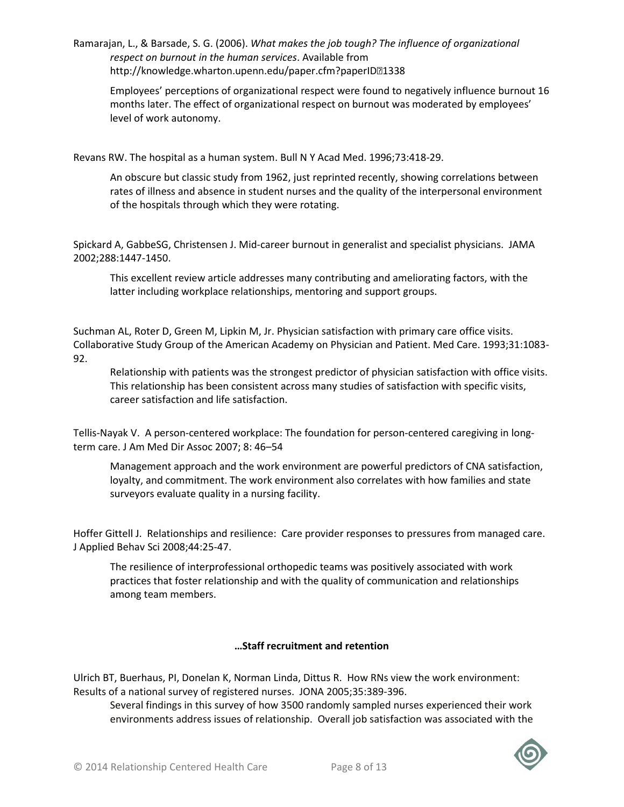Ramarajan, L., & Barsade, S. G. (2006). What makes the job tough? The influence of organizational respect on burnout in the human services. Available from http://knowledge.wharton.upenn.edu/paper.cfm?paperID21338

Employees' perceptions of organizational respect were found to negatively influence burnout 16 months later. The effect of organizational respect on burnout was moderated by employees' level of work autonomy.

Revans RW. The hospital as a human system. Bull N Y Acad Med. 1996;73:418-29.

An obscure but classic study from 1962, just reprinted recently, showing correlations between rates of illness and absence in student nurses and the quality of the interpersonal environment of the hospitals through which they were rotating.

Spickard A, GabbeSG, Christensen J. Mid-career burnout in generalist and specialist physicians. JAMA 2002;288:1447-1450.

This excellent review article addresses many contributing and ameliorating factors, with the latter including workplace relationships, mentoring and support groups.

Suchman AL, Roter D, Green M, Lipkin M, Jr. Physician satisfaction with primary care office visits. Collaborative Study Group of the American Academy on Physician and Patient. Med Care. 1993;31:1083- 92.

Relationship with patients was the strongest predictor of physician satisfaction with office visits. This relationship has been consistent across many studies of satisfaction with specific visits, career satisfaction and life satisfaction.

Tellis-Nayak V. A person-centered workplace: The foundation for person-centered caregiving in longterm care. J Am Med Dir Assoc 2007; 8: 46–54

Management approach and the work environment are powerful predictors of CNA satisfaction, loyalty, and commitment. The work environment also correlates with how families and state surveyors evaluate quality in a nursing facility.

Hoffer Gittell J. Relationships and resilience: Care provider responses to pressures from managed care. J Applied Behav Sci 2008;44:25-47.

The resilience of interprofessional orthopedic teams was positively associated with work practices that foster relationship and with the quality of communication and relationships among team members.

#### …Staff recruitment and retention

Ulrich BT, Buerhaus, PI, Donelan K, Norman Linda, Dittus R. How RNs view the work environment: Results of a national survey of registered nurses. JONA 2005;35:389-396.

Several findings in this survey of how 3500 randomly sampled nurses experienced their work environments address issues of relationship. Overall job satisfaction was associated with the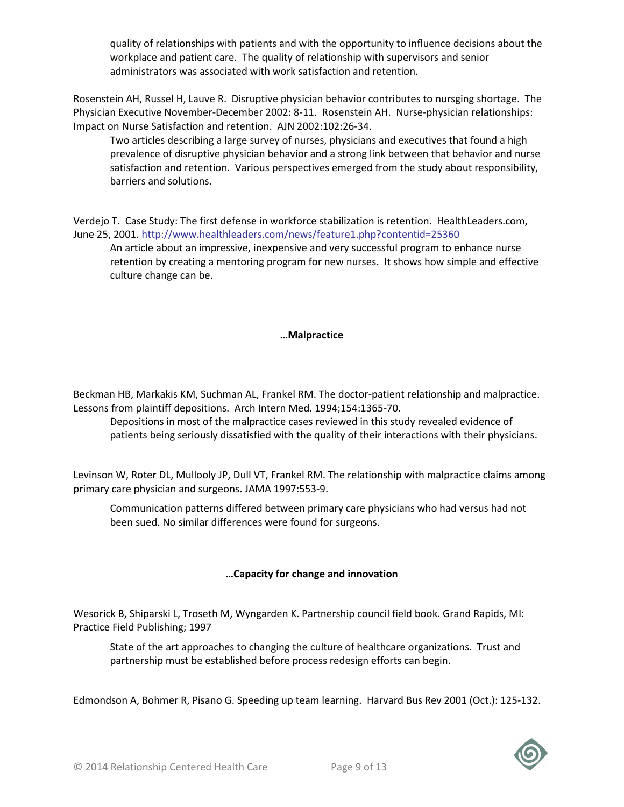quality of relationships with patients and with the opportunity to influence decisions about the workplace and patient care. The quality of relationship with supervisors and senior administrators was associated with work satisfaction and retention.

Rosenstein AH, Russel H, Lauve R. Disruptive physician behavior contributes to nursging shortage. The Physician Executive November-December 2002: 8-11. Rosenstein AH. Nurse-physician relationships: Impact on Nurse Satisfaction and retention. AJN 2002:102:26-34.

Two articles describing a large survey of nurses, physicians and executives that found a high prevalence of disruptive physician behavior and a strong link between that behavior and nurse satisfaction and retention. Various perspectives emerged from the study about responsibility, barriers and solutions.

Verdejo T. Case Study: The first defense in workforce stabilization is retention. HealthLeaders.com, June 25, 2001. http://www.healthleaders.com/news/feature1.php?contentid=25360

An article about an impressive, inexpensive and very successful program to enhance nurse retention by creating a mentoring program for new nurses. It shows how simple and effective culture change can be.

#### …Malpractice

Beckman HB, Markakis KM, Suchman AL, Frankel RM. The doctor-patient relationship and malpractice. Lessons from plaintiff depositions. Arch Intern Med. 1994;154:1365-70.

Depositions in most of the malpractice cases reviewed in this study revealed evidence of patients being seriously dissatisfied with the quality of their interactions with their physicians.

Levinson W, Roter DL, Mullooly JP, Dull VT, Frankel RM. The relationship with malpractice claims among primary care physician and surgeons. JAMA 1997:553-9.

Communication patterns differed between primary care physicians who had versus had not been sued. No similar differences were found for surgeons.

# …Capacity for change and innovation

Wesorick B, Shiparski L, Troseth M, Wyngarden K. Partnership council field book. Grand Rapids, MI: Practice Field Publishing; 1997

State of the art approaches to changing the culture of healthcare organizations. Trust and partnership must be established before process redesign efforts can begin.

Edmondson A, Bohmer R, Pisano G. Speeding up team learning. Harvard Bus Rev 2001 (Oct.): 125-132.

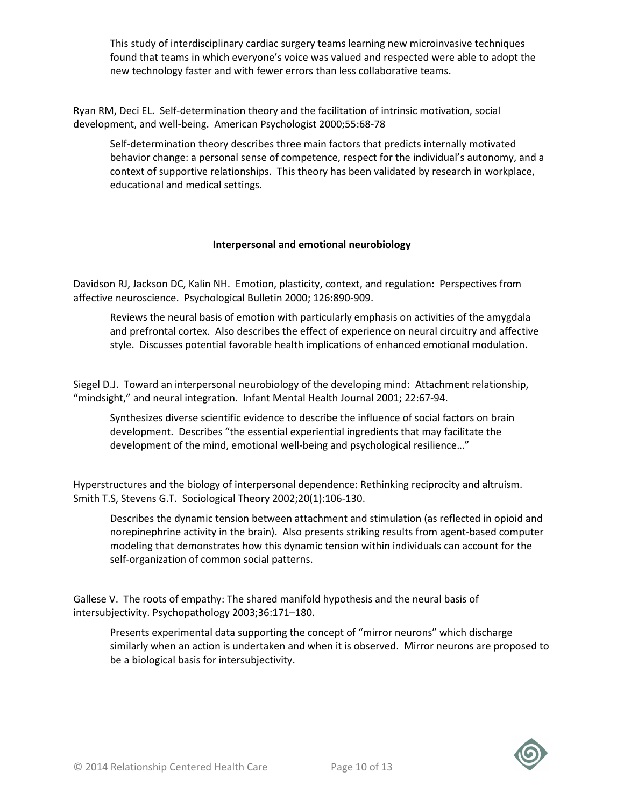This study of interdisciplinary cardiac surgery teams learning new microinvasive techniques found that teams in which everyone's voice was valued and respected were able to adopt the new technology faster and with fewer errors than less collaborative teams.

Ryan RM, Deci EL. Self-determination theory and the facilitation of intrinsic motivation, social development, and well-being. American Psychologist 2000;55:68-78

Self-determination theory describes three main factors that predicts internally motivated behavior change: a personal sense of competence, respect for the individual's autonomy, and a context of supportive relationships. This theory has been validated by research in workplace, educational and medical settings.

## Interpersonal and emotional neurobiology

Davidson RJ, Jackson DC, Kalin NH. Emotion, plasticity, context, and regulation: Perspectives from affective neuroscience. Psychological Bulletin 2000; 126:890-909.

Reviews the neural basis of emotion with particularly emphasis on activities of the amygdala and prefrontal cortex. Also describes the effect of experience on neural circuitry and affective style. Discusses potential favorable health implications of enhanced emotional modulation.

Siegel D.J. Toward an interpersonal neurobiology of the developing mind: Attachment relationship, "mindsight," and neural integration. Infant Mental Health Journal 2001; 22:67-94.

Synthesizes diverse scientific evidence to describe the influence of social factors on brain development. Describes "the essential experiential ingredients that may facilitate the development of the mind, emotional well-being and psychological resilience…"

Hyperstructures and the biology of interpersonal dependence: Rethinking reciprocity and altruism. Smith T.S, Stevens G.T. Sociological Theory 2002;20(1):106-130.

Describes the dynamic tension between attachment and stimulation (as reflected in opioid and norepinephrine activity in the brain). Also presents striking results from agent-based computer modeling that demonstrates how this dynamic tension within individuals can account for the self-organization of common social patterns.

Gallese V. The roots of empathy: The shared manifold hypothesis and the neural basis of intersubjectivity. Psychopathology 2003;36:171–180.

Presents experimental data supporting the concept of "mirror neurons" which discharge similarly when an action is undertaken and when it is observed. Mirror neurons are proposed to be a biological basis for intersubjectivity.

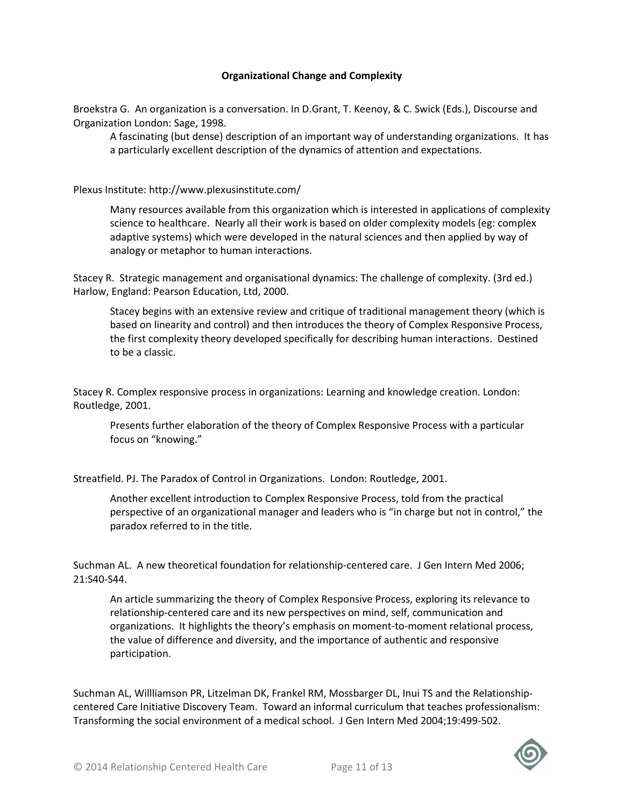### Organizational Change and Complexity

Broekstra G. An organization is a conversation. In D.Grant, T. Keenoy, & C. Swick (Eds.), Discourse and Organization London: Sage, 1998.

A fascinating (but dense) description of an important way of understanding organizations. It has a particularly excellent description of the dynamics of attention and expectations.

Plexus Institute: http://www.plexusinstitute.com/

Many resources available from this organization which is interested in applications of complexity science to healthcare. Nearly all their work is based on older complexity models (eg: complex adaptive systems) which were developed in the natural sciences and then applied by way of analogy or metaphor to human interactions.

Stacey R. Strategic management and organisational dynamics: The challenge of complexity. (3rd ed.) Harlow, England: Pearson Education, Ltd, 2000.

Stacey begins with an extensive review and critique of traditional management theory (which is based on linearity and control) and then introduces the theory of Complex Responsive Process, the first complexity theory developed specifically for describing human interactions. Destined to be a classic.

Stacey R. Complex responsive process in organizations: Learning and knowledge creation. London: Routledge, 2001.

Presents further elaboration of the theory of Complex Responsive Process with a particular focus on "knowing."

Streatfield. PJ. The Paradox of Control in Organizations. London: Routledge, 2001.

Another excellent introduction to Complex Responsive Process, told from the practical perspective of an organizational manager and leaders who is "in charge but not in control," the paradox referred to in the title.

Suchman AL. A new theoretical foundation for relationship-centered care. J Gen Intern Med 2006; 21:S40-S44.

An article summarizing the theory of Complex Responsive Process, exploring its relevance to relationship-centered care and its new perspectives on mind, self, communication and organizations. It highlights the theory's emphasis on moment-to-moment relational process, the value of difference and diversity, and the importance of authentic and responsive participation.

Suchman AL, Willliamson PR, Litzelman DK, Frankel RM, Mossbarger DL, Inui TS and the Relationshipcentered Care Initiative Discovery Team. Toward an informal curriculum that teaches professionalism: Transforming the social environment of a medical school. J Gen Intern Med 2004;19:499-502.

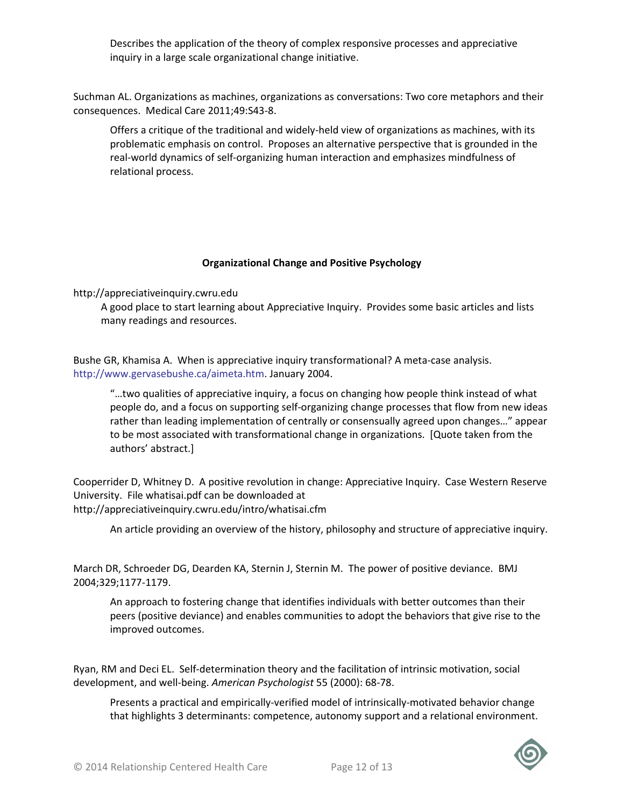Describes the application of the theory of complex responsive processes and appreciative inquiry in a large scale organizational change initiative.

Suchman AL. Organizations as machines, organizations as conversations: Two core metaphors and their consequences. Medical Care 2011;49:S43-8.

Offers a critique of the traditional and widely-held view of organizations as machines, with its problematic emphasis on control. Proposes an alternative perspective that is grounded in the real-world dynamics of self-organizing human interaction and emphasizes mindfulness of relational process.

#### Organizational Change and Positive Psychology

http://appreciativeinquiry.cwru.edu

A good place to start learning about Appreciative Inquiry. Provides some basic articles and lists many readings and resources.

Bushe GR, Khamisa A. When is appreciative inquiry transformational? A meta-case analysis. http://www.gervasebushe.ca/aimeta.htm. January 2004.

"…two qualities of appreciative inquiry, a focus on changing how people think instead of what people do, and a focus on supporting self-organizing change processes that flow from new ideas rather than leading implementation of centrally or consensually agreed upon changes…" appear to be most associated with transformational change in organizations. [Quote taken from the authors' abstract.]

Cooperrider D, Whitney D. A positive revolution in change: Appreciative Inquiry. Case Western Reserve University. File whatisai.pdf can be downloaded at http://appreciativeinquiry.cwru.edu/intro/whatisai.cfm

An article providing an overview of the history, philosophy and structure of appreciative inquiry.

March DR, Schroeder DG, Dearden KA, Sternin J, Sternin M. The power of positive deviance. BMJ 2004;329;1177-1179.

An approach to fostering change that identifies individuals with better outcomes than their peers (positive deviance) and enables communities to adopt the behaviors that give rise to the improved outcomes.

Ryan, RM and Deci EL. Self-determination theory and the facilitation of intrinsic motivation, social development, and well-being. American Psychologist 55 (2000): 68-78.

Presents a practical and empirically-verified model of intrinsically-motivated behavior change that highlights 3 determinants: competence, autonomy support and a relational environment.